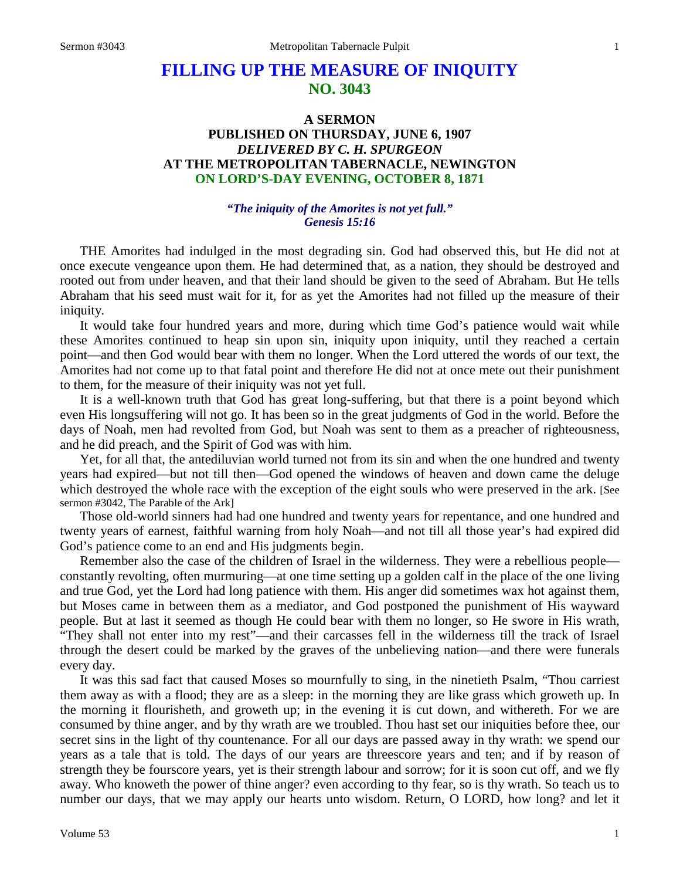# **FILLING UP THE MEASURE OF INIQUITY NO. 3043**

# **A SERMON PUBLISHED ON THURSDAY, JUNE 6, 1907** *DELIVERED BY C. H. SPURGEON* **AT THE METROPOLITAN TABERNACLE, NEWINGTON ON LORD'S-DAY EVENING, OCTOBER 8, 1871**

#### *"The iniquity of the Amorites is not yet full." Genesis 15:16*

THE Amorites had indulged in the most degrading sin. God had observed this, but He did not at once execute vengeance upon them. He had determined that, as a nation, they should be destroyed and rooted out from under heaven, and that their land should be given to the seed of Abraham. But He tells Abraham that his seed must wait for it, for as yet the Amorites had not filled up the measure of their iniquity.

It would take four hundred years and more, during which time God's patience would wait while these Amorites continued to heap sin upon sin, iniquity upon iniquity, until they reached a certain point—and then God would bear with them no longer. When the Lord uttered the words of our text, the Amorites had not come up to that fatal point and therefore He did not at once mete out their punishment to them, for the measure of their iniquity was not yet full.

It is a well-known truth that God has great long-suffering, but that there is a point beyond which even His longsuffering will not go. It has been so in the great judgments of God in the world. Before the days of Noah, men had revolted from God, but Noah was sent to them as a preacher of righteousness, and he did preach, and the Spirit of God was with him.

Yet, for all that, the antediluvian world turned not from its sin and when the one hundred and twenty years had expired—but not till then—God opened the windows of heaven and down came the deluge which destroyed the whole race with the exception of the eight souls who were preserved in the ark. [See sermon #3042, The Parable of the Ark]

Those old-world sinners had had one hundred and twenty years for repentance, and one hundred and twenty years of earnest, faithful warning from holy Noah—and not till all those year's had expired did God's patience come to an end and His judgments begin.

Remember also the case of the children of Israel in the wilderness. They were a rebellious people constantly revolting, often murmuring—at one time setting up a golden calf in the place of the one living and true God, yet the Lord had long patience with them. His anger did sometimes wax hot against them, but Moses came in between them as a mediator, and God postponed the punishment of His wayward people. But at last it seemed as though He could bear with them no longer, so He swore in His wrath, "They shall not enter into my rest"—and their carcasses fell in the wilderness till the track of Israel through the desert could be marked by the graves of the unbelieving nation—and there were funerals every day.

It was this sad fact that caused Moses so mournfully to sing, in the ninetieth Psalm, "Thou carriest them away as with a flood; they are as a sleep: in the morning they are like grass which groweth up. In the morning it flourisheth, and groweth up; in the evening it is cut down, and withereth. For we are consumed by thine anger, and by thy wrath are we troubled. Thou hast set our iniquities before thee, our secret sins in the light of thy countenance. For all our days are passed away in thy wrath: we spend our years as a tale that is told. The days of our years are threescore years and ten; and if by reason of strength they be fourscore years, yet is their strength labour and sorrow; for it is soon cut off, and we fly away. Who knoweth the power of thine anger? even according to thy fear, so is thy wrath. So teach us to number our days, that we may apply our hearts unto wisdom. Return, O LORD, how long? and let it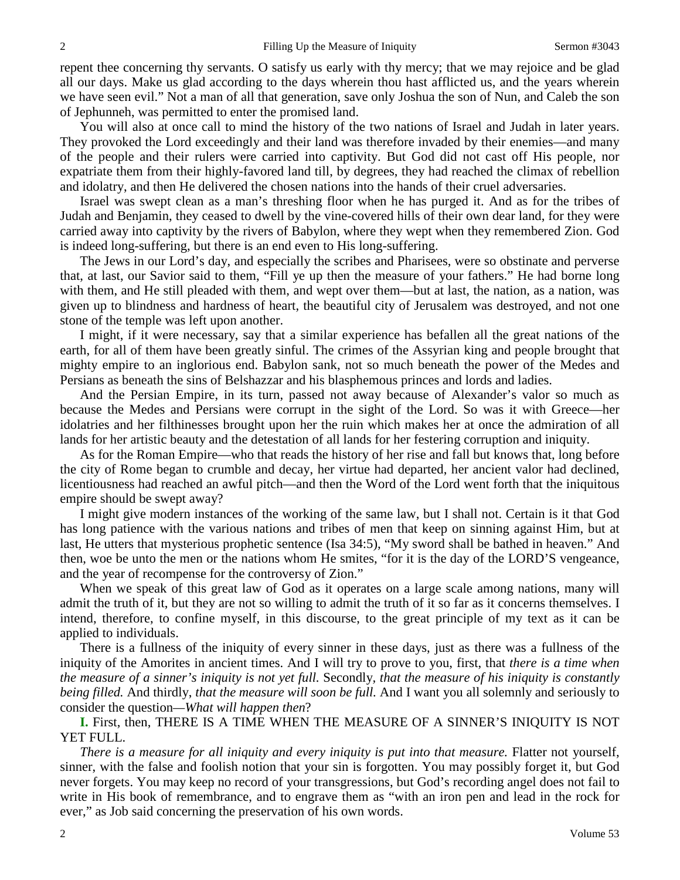repent thee concerning thy servants. O satisfy us early with thy mercy; that we may rejoice and be glad all our days. Make us glad according to the days wherein thou hast afflicted us, and the years wherein we have seen evil." Not a man of all that generation, save only Joshua the son of Nun, and Caleb the son of Jephunneh, was permitted to enter the promised land.

You will also at once call to mind the history of the two nations of Israel and Judah in later years. They provoked the Lord exceedingly and their land was therefore invaded by their enemies—and many of the people and their rulers were carried into captivity. But God did not cast off His people, nor expatriate them from their highly-favored land till, by degrees, they had reached the climax of rebellion and idolatry, and then He delivered the chosen nations into the hands of their cruel adversaries.

Israel was swept clean as a man's threshing floor when he has purged it. And as for the tribes of Judah and Benjamin, they ceased to dwell by the vine-covered hills of their own dear land, for they were carried away into captivity by the rivers of Babylon, where they wept when they remembered Zion. God is indeed long-suffering, but there is an end even to His long-suffering.

The Jews in our Lord's day, and especially the scribes and Pharisees, were so obstinate and perverse that, at last, our Savior said to them, "Fill ye up then the measure of your fathers." He had borne long with them, and He still pleaded with them, and wept over them—but at last, the nation, as a nation, was given up to blindness and hardness of heart, the beautiful city of Jerusalem was destroyed, and not one stone of the temple was left upon another.

I might, if it were necessary, say that a similar experience has befallen all the great nations of the earth, for all of them have been greatly sinful. The crimes of the Assyrian king and people brought that mighty empire to an inglorious end. Babylon sank, not so much beneath the power of the Medes and Persians as beneath the sins of Belshazzar and his blasphemous princes and lords and ladies.

And the Persian Empire, in its turn, passed not away because of Alexander's valor so much as because the Medes and Persians were corrupt in the sight of the Lord. So was it with Greece—her idolatries and her filthinesses brought upon her the ruin which makes her at once the admiration of all lands for her artistic beauty and the detestation of all lands for her festering corruption and iniquity.

As for the Roman Empire—who that reads the history of her rise and fall but knows that, long before the city of Rome began to crumble and decay, her virtue had departed, her ancient valor had declined, licentiousness had reached an awful pitch—and then the Word of the Lord went forth that the iniquitous empire should be swept away?

I might give modern instances of the working of the same law, but I shall not. Certain is it that God has long patience with the various nations and tribes of men that keep on sinning against Him, but at last, He utters that mysterious prophetic sentence (Isa 34:5), "My sword shall be bathed in heaven." And then, woe be unto the men or the nations whom He smites, "for it is the day of the LORD'S vengeance, and the year of recompense for the controversy of Zion."

When we speak of this great law of God as it operates on a large scale among nations, many will admit the truth of it, but they are not so willing to admit the truth of it so far as it concerns themselves. I intend, therefore, to confine myself, in this discourse, to the great principle of my text as it can be applied to individuals.

There is a fullness of the iniquity of every sinner in these days, just as there was a fullness of the iniquity of the Amorites in ancient times. And I will try to prove to you, first, that *there is a time when the measure of a sinner's iniquity is not yet full.* Secondly*, that the measure of his iniquity is constantly being filled.* And thirdly, *that the measure will soon be full.* And I want you all solemnly and seriously to consider the question*—What will happen then*?

**I.** First, then, THERE IS A TIME WHEN THE MEASURE OF A SINNER'S INIQUITY IS NOT YET FULL.

*There is a measure for all iniquity and every iniquity is put into that measure.* Flatter not yourself, sinner, with the false and foolish notion that your sin is forgotten. You may possibly forget it, but God never forgets. You may keep no record of your transgressions, but God's recording angel does not fail to write in His book of remembrance, and to engrave them as "with an iron pen and lead in the rock for ever," as Job said concerning the preservation of his own words.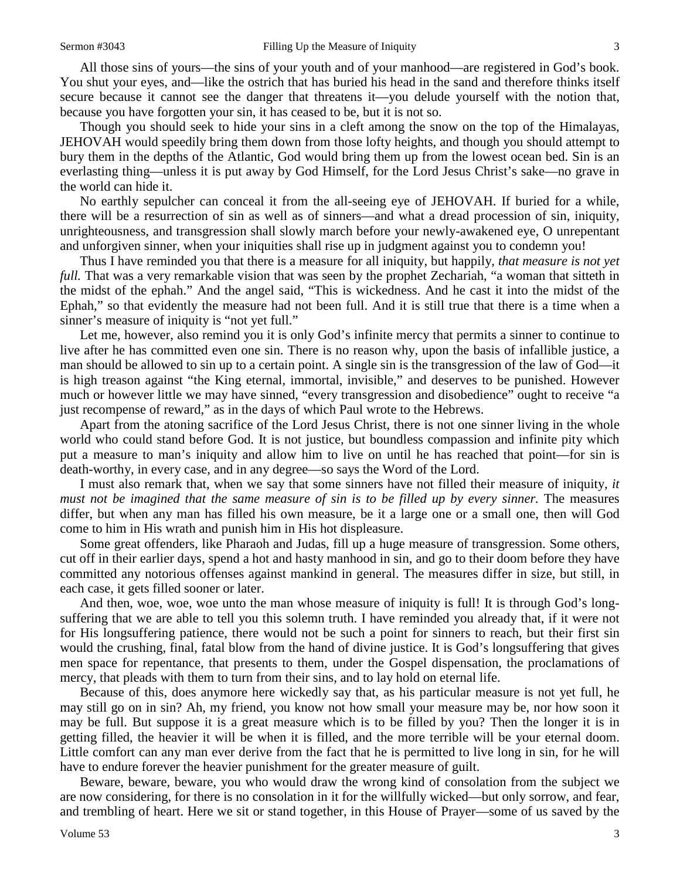All those sins of yours—the sins of your youth and of your manhood—are registered in God's book. You shut your eyes, and—like the ostrich that has buried his head in the sand and therefore thinks itself secure because it cannot see the danger that threatens it—you delude yourself with the notion that, because you have forgotten your sin, it has ceased to be, but it is not so.

Though you should seek to hide your sins in a cleft among the snow on the top of the Himalayas, JEHOVAH would speedily bring them down from those lofty heights, and though you should attempt to bury them in the depths of the Atlantic, God would bring them up from the lowest ocean bed. Sin is an everlasting thing—unless it is put away by God Himself, for the Lord Jesus Christ's sake—no grave in the world can hide it.

No earthly sepulcher can conceal it from the all-seeing eye of JEHOVAH. If buried for a while, there will be a resurrection of sin as well as of sinners—and what a dread procession of sin, iniquity, unrighteousness, and transgression shall slowly march before your newly-awakened eye, O unrepentant and unforgiven sinner, when your iniquities shall rise up in judgment against you to condemn you!

Thus I have reminded you that there is a measure for all iniquity, but happily, *that measure is not yet full.* That was a very remarkable vision that was seen by the prophet Zechariah, "a woman that sitteth in the midst of the ephah." And the angel said, "This is wickedness. And he cast it into the midst of the Ephah," so that evidently the measure had not been full. And it is still true that there is a time when a sinner's measure of iniquity is "not yet full."

Let me, however, also remind you it is only God's infinite mercy that permits a sinner to continue to live after he has committed even one sin. There is no reason why, upon the basis of infallible justice, a man should be allowed to sin up to a certain point. A single sin is the transgression of the law of God—it is high treason against "the King eternal, immortal, invisible," and deserves to be punished. However much or however little we may have sinned, "every transgression and disobedience" ought to receive "a just recompense of reward," as in the days of which Paul wrote to the Hebrews.

Apart from the atoning sacrifice of the Lord Jesus Christ, there is not one sinner living in the whole world who could stand before God. It is not justice, but boundless compassion and infinite pity which put a measure to man's iniquity and allow him to live on until he has reached that point—for sin is death-worthy, in every case, and in any degree—so says the Word of the Lord.

I must also remark that, when we say that some sinners have not filled their measure of iniquity, *it must not be imagined that the same measure of sin is to be filled up by every sinner.* The measures differ, but when any man has filled his own measure, be it a large one or a small one, then will God come to him in His wrath and punish him in His hot displeasure.

Some great offenders, like Pharaoh and Judas, fill up a huge measure of transgression. Some others, cut off in their earlier days, spend a hot and hasty manhood in sin, and go to their doom before they have committed any notorious offenses against mankind in general. The measures differ in size, but still, in each case, it gets filled sooner or later.

And then, woe, woe, woe unto the man whose measure of iniquity is full! It is through God's longsuffering that we are able to tell you this solemn truth. I have reminded you already that, if it were not for His longsuffering patience, there would not be such a point for sinners to reach, but their first sin would the crushing, final, fatal blow from the hand of divine justice. It is God's longsuffering that gives men space for repentance, that presents to them, under the Gospel dispensation, the proclamations of mercy, that pleads with them to turn from their sins, and to lay hold on eternal life.

Because of this, does anymore here wickedly say that, as his particular measure is not yet full, he may still go on in sin? Ah, my friend, you know not how small your measure may be, nor how soon it may be full. But suppose it is a great measure which is to be filled by you? Then the longer it is in getting filled, the heavier it will be when it is filled, and the more terrible will be your eternal doom. Little comfort can any man ever derive from the fact that he is permitted to live long in sin, for he will have to endure forever the heavier punishment for the greater measure of guilt.

Beware, beware, beware, you who would draw the wrong kind of consolation from the subject we are now considering, for there is no consolation in it for the willfully wicked—but only sorrow, and fear, and trembling of heart. Here we sit or stand together, in this House of Prayer—some of us saved by the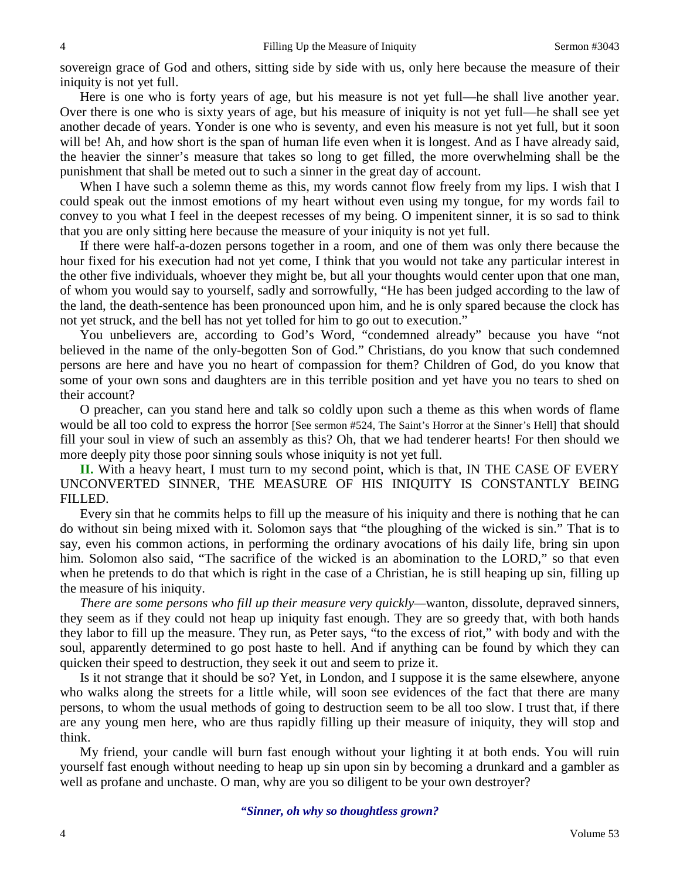sovereign grace of God and others, sitting side by side with us, only here because the measure of their iniquity is not yet full.

Here is one who is forty years of age, but his measure is not yet full—he shall live another year. Over there is one who is sixty years of age, but his measure of iniquity is not yet full—he shall see yet another decade of years. Yonder is one who is seventy, and even his measure is not yet full, but it soon will be! Ah, and how short is the span of human life even when it is longest. And as I have already said, the heavier the sinner's measure that takes so long to get filled, the more overwhelming shall be the punishment that shall be meted out to such a sinner in the great day of account.

When I have such a solemn theme as this, my words cannot flow freely from my lips. I wish that I could speak out the inmost emotions of my heart without even using my tongue, for my words fail to convey to you what I feel in the deepest recesses of my being. O impenitent sinner, it is so sad to think that you are only sitting here because the measure of your iniquity is not yet full.

If there were half-a-dozen persons together in a room, and one of them was only there because the hour fixed for his execution had not yet come, I think that you would not take any particular interest in the other five individuals, whoever they might be, but all your thoughts would center upon that one man, of whom you would say to yourself, sadly and sorrowfully, "He has been judged according to the law of the land, the death-sentence has been pronounced upon him, and he is only spared because the clock has not yet struck, and the bell has not yet tolled for him to go out to execution."

You unbelievers are, according to God's Word, "condemned already" because you have "not believed in the name of the only-begotten Son of God." Christians, do you know that such condemned persons are here and have you no heart of compassion for them? Children of God, do you know that some of your own sons and daughters are in this terrible position and yet have you no tears to shed on their account?

O preacher, can you stand here and talk so coldly upon such a theme as this when words of flame would be all too cold to express the horror [See sermon #524, The Saint's Horror at the Sinner's Hell] that should fill your soul in view of such an assembly as this? Oh, that we had tenderer hearts! For then should we more deeply pity those poor sinning souls whose iniquity is not yet full.

**II.** With a heavy heart, I must turn to my second point, which is that, IN THE CASE OF EVERY UNCONVERTED SINNER, THE MEASURE OF HIS INIQUITY IS CONSTANTLY BEING FILLED.

Every sin that he commits helps to fill up the measure of his iniquity and there is nothing that he can do without sin being mixed with it. Solomon says that "the ploughing of the wicked is sin." That is to say, even his common actions, in performing the ordinary avocations of his daily life, bring sin upon him. Solomon also said, "The sacrifice of the wicked is an abomination to the LORD," so that even when he pretends to do that which is right in the case of a Christian, he is still heaping up sin, filling up the measure of his iniquity.

*There are some persons who fill up their measure very quickly—*wanton, dissolute, depraved sinners, they seem as if they could not heap up iniquity fast enough. They are so greedy that, with both hands they labor to fill up the measure. They run, as Peter says, "to the excess of riot," with body and with the soul, apparently determined to go post haste to hell. And if anything can be found by which they can quicken their speed to destruction, they seek it out and seem to prize it.

Is it not strange that it should be so? Yet, in London, and I suppose it is the same elsewhere, anyone who walks along the streets for a little while, will soon see evidences of the fact that there are many persons, to whom the usual methods of going to destruction seem to be all too slow. I trust that, if there are any young men here, who are thus rapidly filling up their measure of iniquity, they will stop and think.

My friend, your candle will burn fast enough without your lighting it at both ends. You will ruin yourself fast enough without needing to heap up sin upon sin by becoming a drunkard and a gambler as well as profane and unchaste. O man, why are you so diligent to be your own destroyer?

*"Sinner, oh why so thoughtless grown?*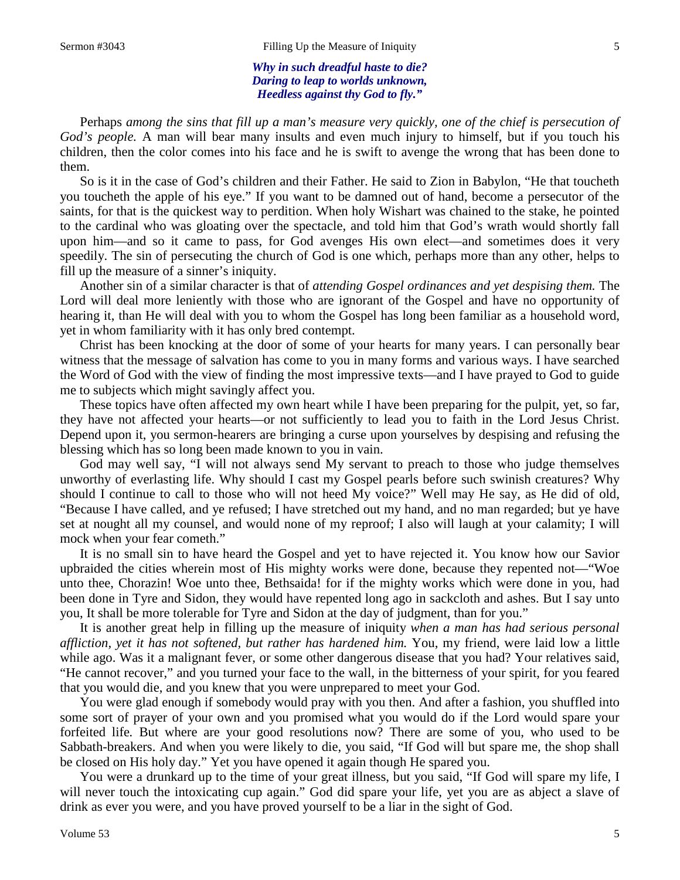#### *Why in such dreadful haste to die? Daring to leap to worlds unknown, Heedless against thy God to fly."*

Perhaps *among the sins that fill up a man's measure very quickly, one of the chief is persecution of God's people.* A man will bear many insults and even much injury to himself, but if you touch his children, then the color comes into his face and he is swift to avenge the wrong that has been done to them.

So is it in the case of God's children and their Father. He said to Zion in Babylon, "He that toucheth you toucheth the apple of his eye." If you want to be damned out of hand, become a persecutor of the saints, for that is the quickest way to perdition. When holy Wishart was chained to the stake, he pointed to the cardinal who was gloating over the spectacle, and told him that God's wrath would shortly fall upon him—and so it came to pass, for God avenges His own elect—and sometimes does it very speedily. The sin of persecuting the church of God is one which, perhaps more than any other, helps to fill up the measure of a sinner's iniquity.

Another sin of a similar character is that of *attending Gospel ordinances and yet despising them.* The Lord will deal more leniently with those who are ignorant of the Gospel and have no opportunity of hearing it, than He will deal with you to whom the Gospel has long been familiar as a household word, yet in whom familiarity with it has only bred contempt.

Christ has been knocking at the door of some of your hearts for many years. I can personally bear witness that the message of salvation has come to you in many forms and various ways. I have searched the Word of God with the view of finding the most impressive texts—and I have prayed to God to guide me to subjects which might savingly affect you.

These topics have often affected my own heart while I have been preparing for the pulpit, yet, so far, they have not affected your hearts—or not sufficiently to lead you to faith in the Lord Jesus Christ. Depend upon it, you sermon-hearers are bringing a curse upon yourselves by despising and refusing the blessing which has so long been made known to you in vain.

God may well say, "I will not always send My servant to preach to those who judge themselves unworthy of everlasting life. Why should I cast my Gospel pearls before such swinish creatures? Why should I continue to call to those who will not heed My voice?" Well may He say, as He did of old, "Because I have called, and ye refused; I have stretched out my hand, and no man regarded; but ye have set at nought all my counsel, and would none of my reproof; I also will laugh at your calamity; I will mock when your fear cometh."

It is no small sin to have heard the Gospel and yet to have rejected it. You know how our Savior upbraided the cities wherein most of His mighty works were done, because they repented not—"Woe unto thee, Chorazin! Woe unto thee, Bethsaida! for if the mighty works which were done in you, had been done in Tyre and Sidon, they would have repented long ago in sackcloth and ashes. But I say unto you, It shall be more tolerable for Tyre and Sidon at the day of judgment, than for you."

It is another great help in filling up the measure of iniquity *when a man has had serious personal affliction, yet it has not softened, but rather has hardened him.* You, my friend, were laid low a little while ago. Was it a malignant fever, or some other dangerous disease that you had? Your relatives said, "He cannot recover," and you turned your face to the wall, in the bitterness of your spirit, for you feared that you would die, and you knew that you were unprepared to meet your God.

You were glad enough if somebody would pray with you then. And after a fashion, you shuffled into some sort of prayer of your own and you promised what you would do if the Lord would spare your forfeited life*.* But where are your good resolutions now? There are some of you, who used to be Sabbath-breakers. And when you were likely to die, you said, "If God will but spare me, the shop shall be closed on His holy day." Yet you have opened it again though He spared you.

You were a drunkard up to the time of your great illness, but you said, "If God will spare my life, I will never touch the intoxicating cup again." God did spare your life, yet you are as abject a slave of drink as ever you were, and you have proved yourself to be a liar in the sight of God.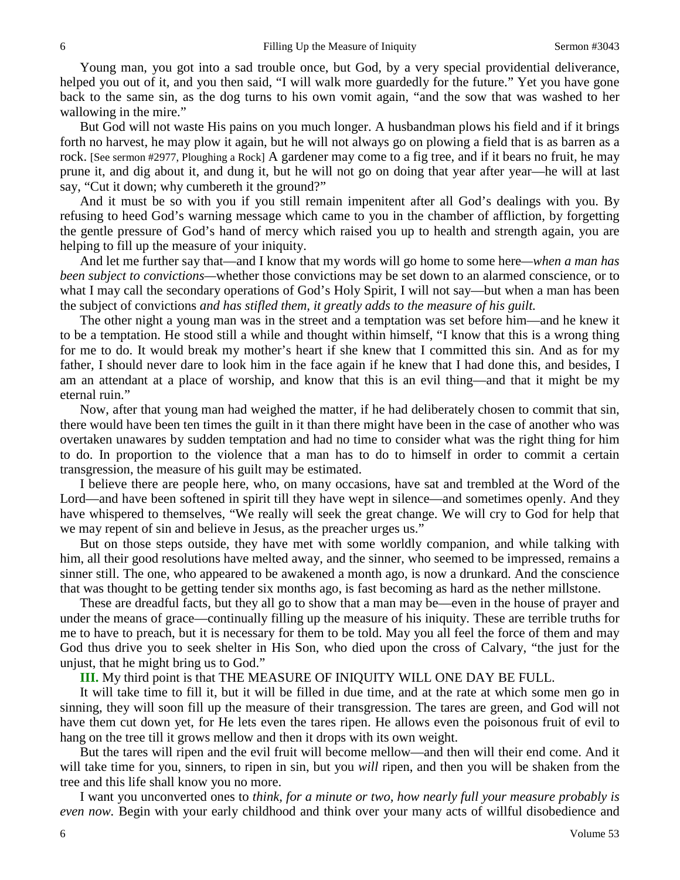Young man, you got into a sad trouble once, but God, by a very special providential deliverance, helped you out of it, and you then said, "I will walk more guardedly for the future." Yet you have gone back to the same sin, as the dog turns to his own vomit again, "and the sow that was washed to her wallowing in the mire."

But God will not waste His pains on you much longer. A husbandman plows his field and if it brings forth no harvest, he may plow it again, but he will not always go on plowing a field that is as barren as a rock. [See sermon #2977, Ploughing a Rock] A gardener may come to a fig tree, and if it bears no fruit, he may prune it, and dig about it, and dung it, but he will not go on doing that year after year—he will at last say, "Cut it down; why cumbereth it the ground?"

And it must be so with you if you still remain impenitent after all God's dealings with you. By refusing to heed God's warning message which came to you in the chamber of affliction, by forgetting the gentle pressure of God's hand of mercy which raised you up to health and strength again, you are helping to fill up the measure of your iniquity.

And let me further say that—and I know that my words will go home to some here*—when a man has been subject to convictions—*whether those convictions may be set down to an alarmed conscience, or to what I may call the secondary operations of God's Holy Spirit, I will not say—but when a man has been the subject of convictions *and has stifled them, it greatly adds to the measure of his guilt.* 

The other night a young man was in the street and a temptation was set before him—and he knew it to be a temptation. He stood still a while and thought within himself, "I know that this is a wrong thing for me to do. It would break my mother's heart if she knew that I committed this sin. And as for my father, I should never dare to look him in the face again if he knew that I had done this, and besides, I am an attendant at a place of worship, and know that this is an evil thing—and that it might be my eternal ruin."

Now, after that young man had weighed the matter, if he had deliberately chosen to commit that sin, there would have been ten times the guilt in it than there might have been in the case of another who was overtaken unawares by sudden temptation and had no time to consider what was the right thing for him to do. In proportion to the violence that a man has to do to himself in order to commit a certain transgression, the measure of his guilt may be estimated.

I believe there are people here, who, on many occasions, have sat and trembled at the Word of the Lord—and have been softened in spirit till they have wept in silence—and sometimes openly. And they have whispered to themselves*,* "We really will seek the great change. We will cry to God for help that we may repent of sin and believe in Jesus, as the preacher urges us."

But on those steps outside, they have met with some worldly companion, and while talking with him, all their good resolutions have melted away, and the sinner, who seemed to be impressed, remains a sinner still. The one, who appeared to be awakened a month ago, is now a drunkard. And the conscience that was thought to be getting tender six months ago, is fast becoming as hard as the nether millstone.

These are dreadful facts, but they all go to show that a man may be—even in the house of prayer and under the means of grace—continually filling up the measure of his iniquity. These are terrible truths for me to have to preach, but it is necessary for them to be told. May you all feel the force of them and may God thus drive you to seek shelter in His Son, who died upon the cross of Calvary, "the just for the unjust, that he might bring us to God."

## **III.** My third point is that THE MEASURE OF INIQUITY WILL ONE DAY BE FULL.

It will take time to fill it, but it will be filled in due time, and at the rate at which some men go in sinning, they will soon fill up the measure of their transgression. The tares are green, and God will not have them cut down yet, for He lets even the tares ripen. He allows even the poisonous fruit of evil to hang on the tree till it grows mellow and then it drops with its own weight.

But the tares will ripen and the evil fruit will become mellow—and then will their end come. And it will take time for you, sinners, to ripen in sin, but you *will* ripen, and then you will be shaken from the tree and this life shall know you no more.

I want you unconverted ones to *think, for a minute or two, how nearly full your measure probably is even now.* Begin with your early childhood and think over your many acts of willful disobedience and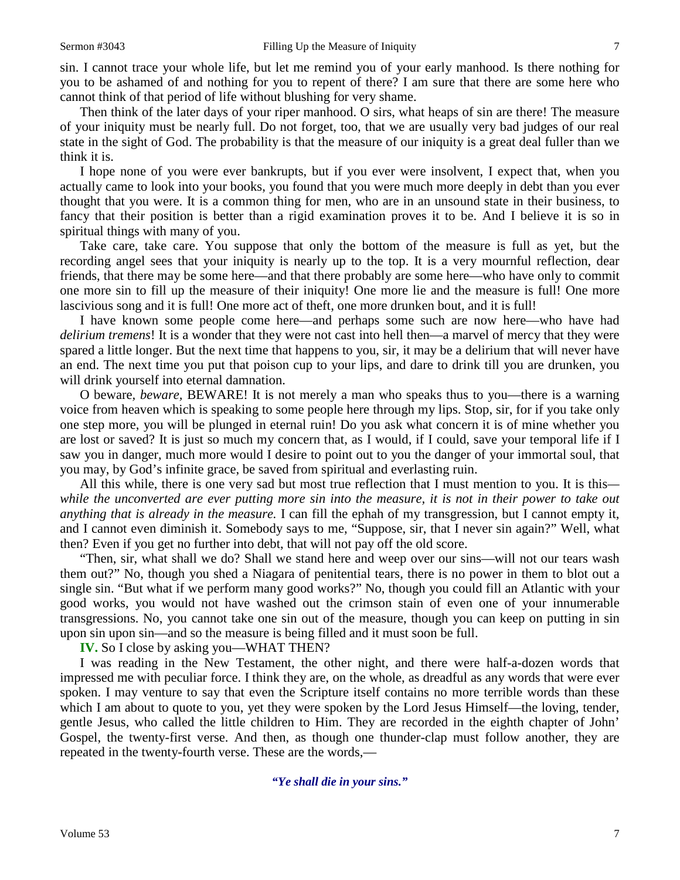sin. I cannot trace your whole life, but let me remind you of your early manhood. Is there nothing for you to be ashamed of and nothing for you to repent of there? I am sure that there are some here who cannot think of that period of life without blushing for very shame.

Then think of the later days of your riper manhood. O sirs, what heaps of sin are there! The measure of your iniquity must be nearly full. Do not forget, too, that we are usually very bad judges of our real state in the sight of God. The probability is that the measure of our iniquity is a great deal fuller than we think it is.

I hope none of you were ever bankrupts, but if you ever were insolvent, I expect that, when you actually came to look into your books, you found that you were much more deeply in debt than you ever thought that you were. It is a common thing for men, who are in an unsound state in their business, to fancy that their position is better than a rigid examination proves it to be. And I believe it is so in spiritual things with many of you.

Take care, take care. You suppose that only the bottom of the measure is full as yet, but the recording angel sees that your iniquity is nearly up to the top. It is a very mournful reflection, dear friends, that there may be some here—and that there probably are some here—who have only to commit one more sin to fill up the measure of their iniquity! One more lie and the measure is full! One more lascivious song and it is full! One more act of theft, one more drunken bout, and it is full!

I have known some people come here—and perhaps some such are now here—who have had *delirium tremens*! It is a wonder that they were not cast into hell then—a marvel of mercy that they were spared a little longer. But the next time that happens to you, sir, it may be a delirium that will never have an end. The next time you put that poison cup to your lips, and dare to drink till you are drunken, you will drink yourself into eternal damnation.

O beware*, beware,* BEWARE! It is not merely a man who speaks thus to you—there is a warning voice from heaven which is speaking to some people here through my lips. Stop, sir, for if you take only one step more, you will be plunged in eternal ruin! Do you ask what concern it is of mine whether you are lost or saved? It is just so much my concern that, as I would, if I could, save your temporal life if I saw you in danger, much more would I desire to point out to you the danger of your immortal soul, that you may, by God's infinite grace, be saved from spiritual and everlasting ruin.

All this while, there is one very sad but most true reflection that I must mention to you. It is this *while the unconverted are ever putting more sin into the measure, it is not in their power to take out anything that is already in the measure.* I can fill the ephah of my transgression, but I cannot empty it, and I cannot even diminish it. Somebody says to me, "Suppose, sir, that I never sin again?" Well, what then? Even if you get no further into debt, that will not pay off the old score.

"Then, sir, what shall we do? Shall we stand here and weep over our sins—will not our tears wash them out?" No, though you shed a Niagara of penitential tears, there is no power in them to blot out a single sin. "But what if we perform many good works?" No, though you could fill an Atlantic with your good works, you would not have washed out the crimson stain of even one of your innumerable transgressions. No, you cannot take one sin out of the measure, though you can keep on putting in sin upon sin upon sin—and so the measure is being filled and it must soon be full.

**IV.** So I close by asking you—WHAT THEN?

I was reading in the New Testament, the other night, and there were half-a-dozen words that impressed me with peculiar force. I think they are, on the whole, as dreadful as any words that were ever spoken. I may venture to say that even the Scripture itself contains no more terrible words than these which I am about to quote to you, yet they were spoken by the Lord Jesus Himself—the loving, tender, gentle Jesus, who called the little children to Him. They are recorded in the eighth chapter of John' Gospel, the twenty-first verse. And then, as though one thunder-clap must follow another, they are repeated in the twenty-fourth verse. These are the words,—

*"Ye shall die in your sins."*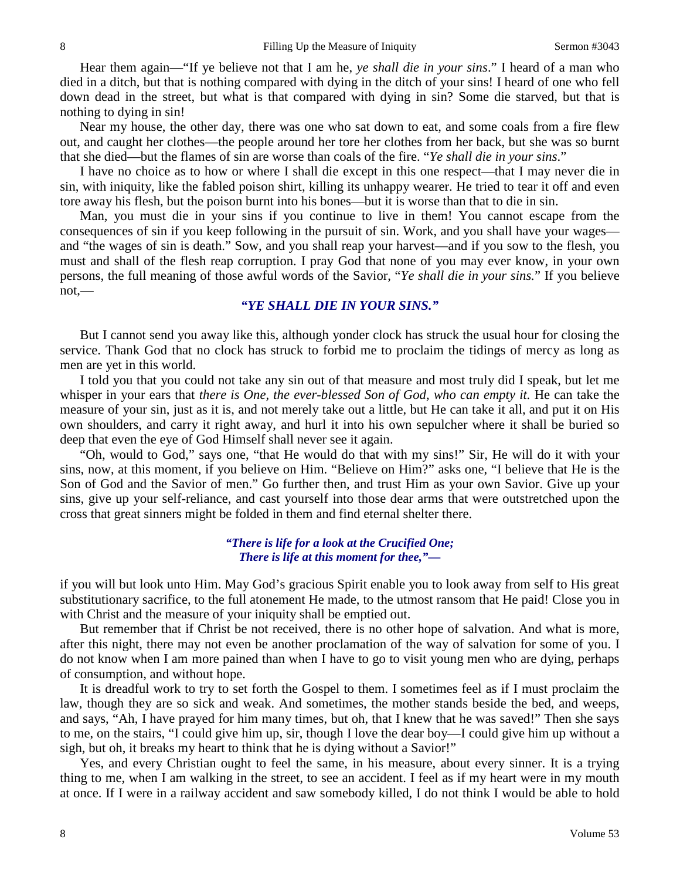Hear them again—"If ye believe not that I am he, *ye shall die in your sins*." I heard of a man who died in a ditch, but that is nothing compared with dying in the ditch of your sins! I heard of one who fell down dead in the street, but what is that compared with dying in sin? Some die starved, but that is nothing to dying in sin!

Near my house, the other day, there was one who sat down to eat, and some coals from a fire flew out, and caught her clothes—the people around her tore her clothes from her back, but she was so burnt that she died—but the flames of sin are worse than coals of the fire. "*Ye shall die in your sins*."

I have no choice as to how or where I shall die except in this one respect—that I may never die in sin, with iniquity, like the fabled poison shirt, killing its unhappy wearer. He tried to tear it off and even tore away his flesh, but the poison burnt into his bones—but it is worse than that to die in sin.

Man, you must die in your sins if you continue to live in them! You cannot escape from the consequences of sin if you keep following in the pursuit of sin. Work, and you shall have your wages and "the wages of sin is death." Sow, and you shall reap your harvest—and if you sow to the flesh, you must and shall of the flesh reap corruption. I pray God that none of you may ever know, in your own persons, the full meaning of those awful words of the Savior, "*Ye shall die in your sins.*" If you believe not,—

# *"YE SHALL DIE IN YOUR SINS."*

But I cannot send you away like this, although yonder clock has struck the usual hour for closing the service. Thank God that no clock has struck to forbid me to proclaim the tidings of mercy as long as men are yet in this world.

I told you that you could not take any sin out of that measure and most truly did I speak, but let me whisper in your ears that *there is One, the ever-blessed Son of God, who can empty it.* He can take the measure of your sin, just as it is, and not merely take out a little, but He can take it all, and put it on His own shoulders, and carry it right away, and hurl it into his own sepulcher where it shall be buried so deep that even the eye of God Himself shall never see it again.

"Oh, would to God," says one, "that He would do that with my sins!" Sir, He will do it with your sins, now, at this moment, if you believe on Him. "Believe on Him?" asks one, "I believe that He is the Son of God and the Savior of men." Go further then, and trust Him as your own Savior. Give up your sins, give up your self-reliance, and cast yourself into those dear arms that were outstretched upon the cross that great sinners might be folded in them and find eternal shelter there.

## *"There is life for a look at the Crucified One; There is life at this moment for thee,"—*

if you will but look unto Him. May God's gracious Spirit enable you to look away from self to His great substitutionary sacrifice, to the full atonement He made, to the utmost ransom that He paid! Close you in with Christ and the measure of your iniquity shall be emptied out.

But remember that if Christ be not received, there is no other hope of salvation. And what is more, after this night, there may not even be another proclamation of the way of salvation for some of you. I do not know when I am more pained than when I have to go to visit young men who are dying, perhaps of consumption, and without hope.

It is dreadful work to try to set forth the Gospel to them. I sometimes feel as if I must proclaim the law, though they are so sick and weak. And sometimes, the mother stands beside the bed, and weeps, and says, "Ah, I have prayed for him many times, but oh, that I knew that he was saved!" Then she says to me, on the stairs, "I could give him up, sir, though I love the dear boy—I could give him up without a sigh, but oh, it breaks my heart to think that he is dying without a Savior!"

Yes, and every Christian ought to feel the same, in his measure, about every sinner. It is a trying thing to me, when I am walking in the street, to see an accident. I feel as if my heart were in my mouth at once. If I were in a railway accident and saw somebody killed, I do not think I would be able to hold